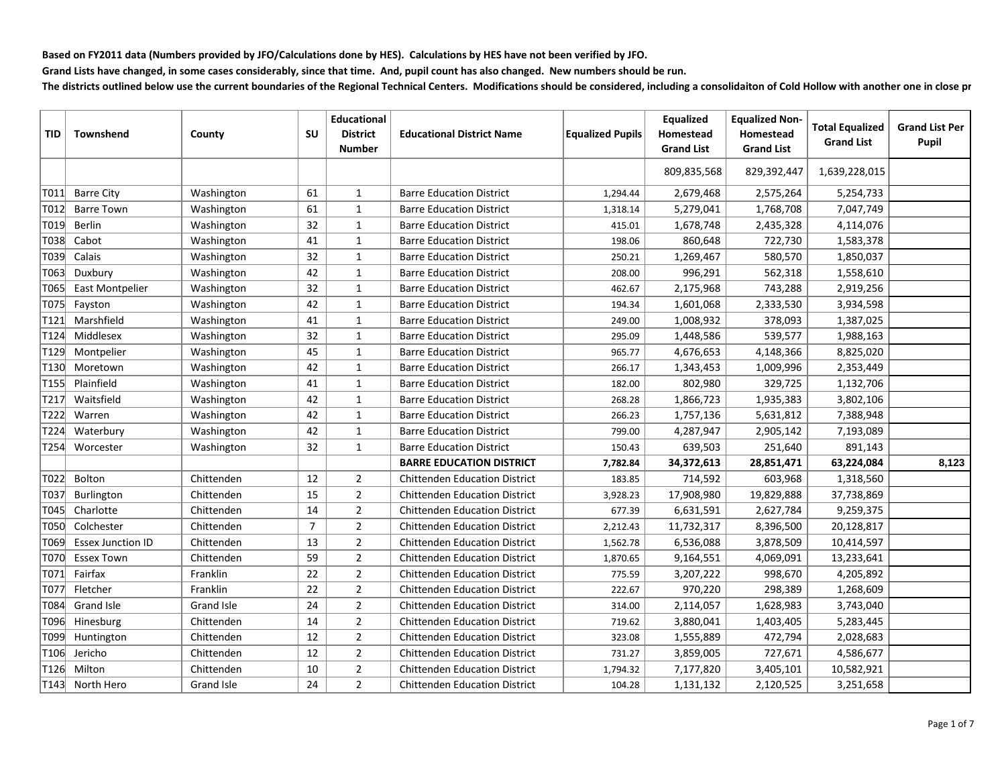**Based on FY2011 data (Numbers provided by JFO/Calculations done by HES). Calculations by HES have not been verified by JFO.**

**Grand Lists have changed, in some cases considerably, since that time. And, pupil count has also changed. New numbers should be run.**

The districts outlined below use the current boundaries of the Regional Technical Centers. Modifications should be considered, including a consolidaiton of Cold Hollow with another one in close pr

| TID  | Townshend                | County     | <b>SU</b>      | <b>Educational</b><br><b>District</b><br><b>Number</b> | <b>Educational District Name</b>     | <b>Equalized Pupils</b> | <b>Equalized</b><br>Homestead<br><b>Grand List</b> | <b>Equalized Non-</b><br>Homestead<br><b>Grand List</b> | <b>Total Equalized</b><br><b>Grand List</b> | <b>Grand List Per</b><br><b>Pupil</b> |
|------|--------------------------|------------|----------------|--------------------------------------------------------|--------------------------------------|-------------------------|----------------------------------------------------|---------------------------------------------------------|---------------------------------------------|---------------------------------------|
|      |                          |            |                |                                                        |                                      |                         | 809,835,568                                        | 829,392,447                                             | 1,639,228,015                               |                                       |
| T011 | <b>Barre City</b>        | Washington | 61             | $\mathbf{1}$                                           | <b>Barre Education District</b>      | 1,294.44                | 2,679,468                                          | 2,575,264                                               | 5,254,733                                   |                                       |
| T012 | <b>Barre Town</b>        | Washington | 61             | $\mathbf{1}$                                           | <b>Barre Education District</b>      | 1,318.14                | 5,279,041                                          | 1,768,708                                               | 7,047,749                                   |                                       |
| T019 | Berlin                   | Washington | 32             | $\mathbf{1}$                                           | <b>Barre Education District</b>      | 415.01                  | 1,678,748                                          | 2,435,328                                               | 4,114,076                                   |                                       |
| T038 | Cabot                    | Washington | 41             | $\mathbf{1}$                                           | <b>Barre Education District</b>      | 198.06                  | 860,648                                            | 722,730                                                 | 1,583,378                                   |                                       |
| T039 | Calais                   | Washington | 32             | $\mathbf{1}$                                           | <b>Barre Education District</b>      | 250.21                  | 1,269,467                                          | 580,570                                                 | 1,850,037                                   |                                       |
| T063 | Duxbury                  | Washington | 42             | $\mathbf 1$                                            | <b>Barre Education District</b>      | 208.00                  | 996,291                                            | 562,318                                                 | 1,558,610                                   |                                       |
| T065 | <b>East Montpelier</b>   | Washington | 32             | $\mathbf{1}$                                           | <b>Barre Education District</b>      | 462.67                  | 2,175,968                                          | 743,288                                                 | 2,919,256                                   |                                       |
| T075 | Fayston                  | Washington | 42             | $\mathbf 1$                                            | <b>Barre Education District</b>      | 194.34                  | 1,601,068                                          | 2,333,530                                               | 3,934,598                                   |                                       |
| T121 | Marshfield               | Washington | 41             | $\mathbf{1}$                                           | <b>Barre Education District</b>      | 249.00                  | 1,008,932                                          | 378,093                                                 | 1,387,025                                   |                                       |
| T124 | Middlesex                | Washington | 32             | $\mathbf{1}$                                           | <b>Barre Education District</b>      | 295.09                  | 1,448,586                                          | 539,577                                                 | 1,988,163                                   |                                       |
| T129 | Montpelier               | Washington | 45             | $\mathbf{1}$                                           | <b>Barre Education District</b>      | 965.77                  | 4,676,653                                          | 4,148,366                                               | 8,825,020                                   |                                       |
| T130 | Moretown                 | Washington | 42             | 1                                                      | <b>Barre Education District</b>      | 266.17                  | 1,343,453                                          | 1,009,996                                               | 2,353,449                                   |                                       |
| T155 | Plainfield               | Washington | 41             | 1                                                      | <b>Barre Education District</b>      | 182.00                  | 802,980                                            | 329,725                                                 | 1,132,706                                   |                                       |
| T217 | Waitsfield               | Washington | 42             | $\mathbf{1}$                                           | <b>Barre Education District</b>      | 268.28                  | 1,866,723                                          | 1,935,383                                               | 3,802,106                                   |                                       |
| T222 | Warren                   | Washington | 42             | 1                                                      | <b>Barre Education District</b>      | 266.23                  | 1,757,136                                          | 5,631,812                                               | 7,388,948                                   |                                       |
| T224 | Waterbury                | Washington | 42             | $\mathbf{1}$                                           | <b>Barre Education District</b>      | 799.00                  | 4,287,947                                          | 2,905,142                                               | 7,193,089                                   |                                       |
| T254 | Worcester                | Washington | 32             | $\mathbf{1}$                                           | <b>Barre Education District</b>      | 150.43                  | 639,503                                            | 251,640                                                 | 891,143                                     |                                       |
|      |                          |            |                |                                                        | <b>BARRE EDUCATION DISTRICT</b>      | 7,782.84                | 34,372,613                                         | 28,851,471                                              | 63,224,084                                  | 8,123                                 |
| T022 | Bolton                   | Chittenden | 12             | $\overline{2}$                                         | <b>Chittenden Education District</b> | 183.85                  | 714,592                                            | 603,968                                                 | 1,318,560                                   |                                       |
| T037 | Burlington               | Chittenden | 15             | $\overline{2}$                                         | <b>Chittenden Education District</b> | 3,928.23                | 17,908,980                                         | 19,829,888                                              | 37,738,869                                  |                                       |
| T045 | Charlotte                | Chittenden | 14             | $\overline{2}$                                         | <b>Chittenden Education District</b> | 677.39                  | 6,631,591                                          | 2,627,784                                               | 9,259,375                                   |                                       |
| T050 | Colchester               | Chittenden | $\overline{7}$ | $\overline{2}$                                         | <b>Chittenden Education District</b> | 2,212.43                | 11,732,317                                         | 8,396,500                                               | 20,128,817                                  |                                       |
| T069 | <b>Essex Junction ID</b> | Chittenden | 13             | $\overline{2}$                                         | <b>Chittenden Education District</b> | 1,562.78                | 6,536,088                                          | 3,878,509                                               | 10,414,597                                  |                                       |
| T070 | <b>Essex Town</b>        | Chittenden | 59             | $\overline{2}$                                         | <b>Chittenden Education District</b> | 1,870.65                | 9,164,551                                          | 4,069,091                                               | 13,233,641                                  |                                       |
|      | T071 Fairfax             | Franklin   | 22             | $\overline{2}$                                         | <b>Chittenden Education District</b> | 775.59                  | 3,207,222                                          | 998,670                                                 | 4,205,892                                   |                                       |
|      | T077 Fletcher            | Franklin   | 22             | $\overline{2}$                                         | <b>Chittenden Education District</b> | 222.67                  | 970,220                                            | 298,389                                                 | 1,268,609                                   |                                       |
|      | T084 Grand Isle          | Grand Isle | 24             | $\overline{2}$                                         | <b>Chittenden Education District</b> | 314.00                  | 2,114,057                                          | 1,628,983                                               | 3,743,040                                   |                                       |
|      | T096 Hinesburg           | Chittenden | 14             | $\overline{2}$                                         | <b>Chittenden Education District</b> | 719.62                  | 3,880,041                                          | 1,403,405                                               | 5,283,445                                   |                                       |
|      | T099 Huntington          | Chittenden | 12             | $\overline{2}$                                         | <b>Chittenden Education District</b> | 323.08                  | 1,555,889                                          | 472,794                                                 | 2,028,683                                   |                                       |
|      | T106 Jericho             | Chittenden | 12             | $\overline{2}$                                         | <b>Chittenden Education District</b> | 731.27                  | 3,859,005                                          | 727,671                                                 | 4,586,677                                   |                                       |
|      | T126 Milton              | Chittenden | 10             | $\overline{2}$                                         | <b>Chittenden Education District</b> | 1,794.32                | 7,177,820                                          | 3,405,101                                               | 10,582,921                                  |                                       |
|      | T143 North Hero          | Grand Isle | 24             | $\overline{2}$                                         | <b>Chittenden Education District</b> | 104.28                  | 1,131,132                                          | 2,120,525                                               | 3,251,658                                   |                                       |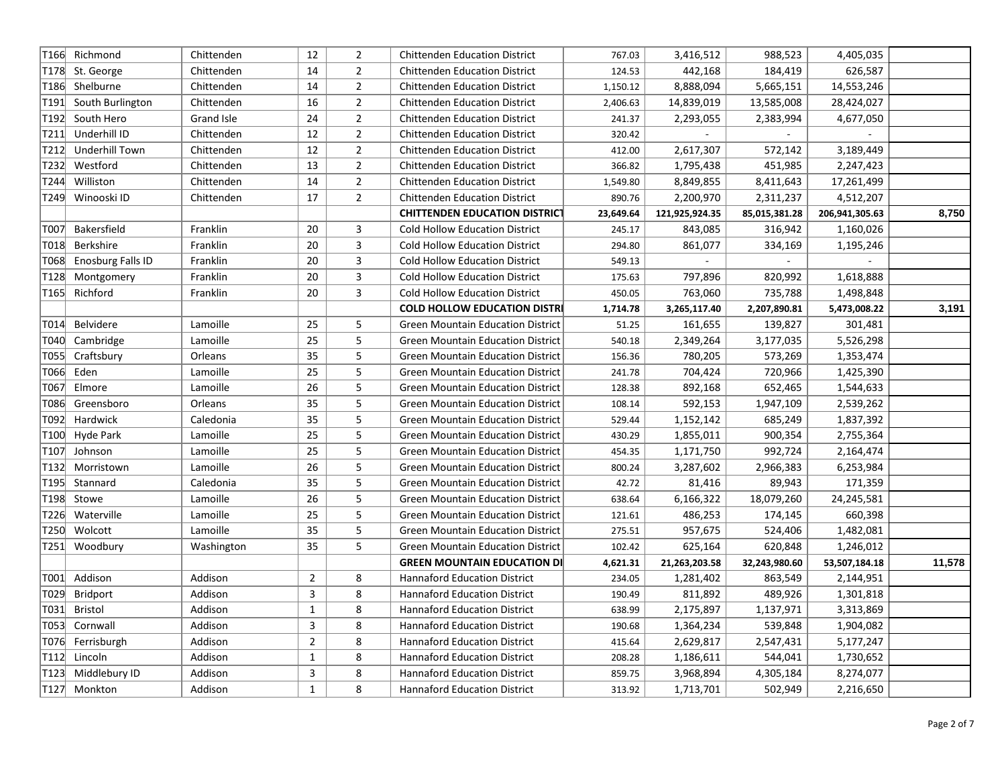| T166 | Richmond                 | Chittenden | 12             | $\overline{2}$ | <b>Chittenden Education District</b>     | 767.03    | 3,416,512      | 988,523       | 4,405,035      |        |
|------|--------------------------|------------|----------------|----------------|------------------------------------------|-----------|----------------|---------------|----------------|--------|
| T178 | St. George               | Chittenden | 14             | $\overline{2}$ | <b>Chittenden Education District</b>     | 124.53    | 442,168        | 184,419       | 626,587        |        |
| T186 | Shelburne                | Chittenden | 14             | $\overline{2}$ | <b>Chittenden Education District</b>     | 1,150.12  | 8,888,094      | 5,665,151     | 14,553,246     |        |
| T191 | South Burlington         | Chittenden | 16             | $\overline{2}$ | <b>Chittenden Education District</b>     | 2,406.63  | 14,839,019     | 13,585,008    | 28,424,027     |        |
| T192 | South Hero               | Grand Isle | 24             | $\overline{2}$ | <b>Chittenden Education District</b>     | 241.37    | 2,293,055      | 2,383,994     | 4,677,050      |        |
| T211 | Underhill ID             | Chittenden | 12             | $\overline{2}$ | <b>Chittenden Education District</b>     | 320.42    |                |               |                |        |
| T212 | Underhill Town           | Chittenden | 12             | $\overline{2}$ | <b>Chittenden Education District</b>     | 412.00    | 2,617,307      | 572,142       | 3,189,449      |        |
| T232 | Westford                 | Chittenden | 13             | $\overline{2}$ | <b>Chittenden Education District</b>     | 366.82    | 1,795,438      | 451,985       | 2,247,423      |        |
| T244 | Williston                | Chittenden | 14             | $\overline{2}$ | <b>Chittenden Education District</b>     | 1,549.80  | 8,849,855      | 8,411,643     | 17,261,499     |        |
| T249 | Winooski ID              | Chittenden | 17             | $\overline{2}$ | <b>Chittenden Education District</b>     | 890.76    | 2,200,970      | 2,311,237     | 4,512,207      |        |
|      |                          |            |                |                | <b>CHITTENDEN EDUCATION DISTRICT</b>     | 23,649.64 | 121,925,924.35 | 85,015,381.28 | 206,941,305.63 | 8,750  |
| T007 | Bakersfield              | Franklin   | 20             | 3              | <b>Cold Hollow Education District</b>    | 245.17    | 843,085        | 316,942       | 1,160,026      |        |
| T018 | Berkshire                | Franklin   | 20             | $\overline{3}$ | <b>Cold Hollow Education District</b>    | 294.80    | 861,077        | 334,169       | 1,195,246      |        |
| T068 | <b>Enosburg Falls ID</b> | Franklin   | 20             | 3              | <b>Cold Hollow Education District</b>    | 549.13    |                |               |                |        |
| T128 | Montgomery               | Franklin   | 20             | 3              | <b>Cold Hollow Education District</b>    | 175.63    | 797,896        | 820,992       | 1,618,888      |        |
| T165 | Richford                 | Franklin   | 20             | 3              | <b>Cold Hollow Education District</b>    | 450.05    | 763,060        | 735,788       | 1,498,848      |        |
|      |                          |            |                |                | <b>COLD HOLLOW EDUCATION DISTRI</b>      | 1,714.78  | 3,265,117.40   | 2,207,890.81  | 5,473,008.22   | 3,191  |
| T014 | Belvidere                | Lamoille   | 25             | 5              | <b>Green Mountain Education District</b> | 51.25     | 161,655        | 139,827       | 301,481        |        |
| T040 | Cambridge                | Lamoille   | 25             | 5              | <b>Green Mountain Education District</b> | 540.18    | 2,349,264      | 3,177,035     | 5,526,298      |        |
| T055 | Craftsbury               | Orleans    | 35             | 5              | <b>Green Mountain Education District</b> | 156.36    | 780,205        | 573,269       | 1,353,474      |        |
| T066 | Eden                     | Lamoille   | 25             | 5              | <b>Green Mountain Education District</b> | 241.78    | 704,424        | 720,966       | 1,425,390      |        |
| T067 | Elmore                   | Lamoille   | 26             | 5              | <b>Green Mountain Education District</b> | 128.38    | 892,168        | 652,465       | 1,544,633      |        |
| T086 | Greensboro               | Orleans    | 35             | 5              | <b>Green Mountain Education District</b> | 108.14    | 592,153        | 1,947,109     | 2,539,262      |        |
| T092 | Hardwick                 | Caledonia  | 35             | 5              | <b>Green Mountain Education District</b> | 529.44    | 1,152,142      | 685,249       | 1,837,392      |        |
| T100 | Hyde Park                | Lamoille   | 25             | 5              | <b>Green Mountain Education District</b> | 430.29    | 1,855,011      | 900,354       | 2,755,364      |        |
| T107 | Johnson                  | Lamoille   | 25             | 5              | <b>Green Mountain Education District</b> | 454.35    | 1,171,750      | 992,724       | 2,164,474      |        |
| T132 | Morristown               | Lamoille   | 26             | 5              | <b>Green Mountain Education District</b> | 800.24    | 3,287,602      | 2,966,383     | 6,253,984      |        |
| T195 | Stannard                 | Caledonia  | 35             | 5              | <b>Green Mountain Education District</b> | 42.72     | 81,416         | 89,943        | 171,359        |        |
| T198 | Stowe                    | Lamoille   | 26             | 5              | <b>Green Mountain Education District</b> | 638.64    | 6,166,322      | 18,079,260    | 24,245,581     |        |
|      | T226 Waterville          | Lamoille   | 25             | 5              | <b>Green Mountain Education District</b> | 121.61    | 486,253        | 174,145       | 660,398        |        |
|      | T250 Wolcott             | Lamoille   | 35             | 5              | <b>Green Mountain Education District</b> | 275.51    | 957,675        | 524,406       | 1,482,081      |        |
|      | T251 Woodbury            | Washington | 35             | 5              | <b>Green Mountain Education District</b> | 102.42    | 625,164        | 620,848       | 1,246,012      |        |
|      |                          |            |                |                | <b>GREEN MOUNTAIN EDUCATION DI</b>       | 4,621.31  | 21,263,203.58  | 32,243,980.60 | 53,507,184.18  | 11,578 |
| T001 | Addison                  | Addison    | $\overline{2}$ | 8              | <b>Hannaford Education District</b>      | 234.05    | 1,281,402      | 863,549       | 2,144,951      |        |
| T029 | Bridport                 | Addison    | 3              | 8              | <b>Hannaford Education District</b>      | 190.49    | 811,892        | 489,926       | 1,301,818      |        |
| T031 | Bristol                  | Addison    | $\mathbf{1}$   | 8              | <b>Hannaford Education District</b>      | 638.99    | 2,175,897      | 1,137,971     | 3,313,869      |        |
| T053 | Cornwall                 | Addison    | 3              | 8              | <b>Hannaford Education District</b>      | 190.68    | 1,364,234      | 539,848       | 1,904,082      |        |
| T076 | Ferrisburgh              | Addison    | $\overline{2}$ | 8              | <b>Hannaford Education District</b>      | 415.64    | 2,629,817      | 2,547,431     | 5,177,247      |        |
| T112 | Lincoln                  | Addison    | $\mathbf{1}$   | 8              | <b>Hannaford Education District</b>      | 208.28    | 1,186,611      | 544,041       | 1,730,652      |        |
| T123 | Middlebury ID            | Addison    | 3              | 8              | <b>Hannaford Education District</b>      | 859.75    | 3,968,894      | 4,305,184     | 8,274,077      |        |
| T127 | Monkton                  | Addison    | $\mathbf{1}$   | 8              | <b>Hannaford Education District</b>      | 313.92    | 1,713,701      | 502,949       | 2,216,650      |        |
|      |                          |            |                |                |                                          |           |                |               |                |        |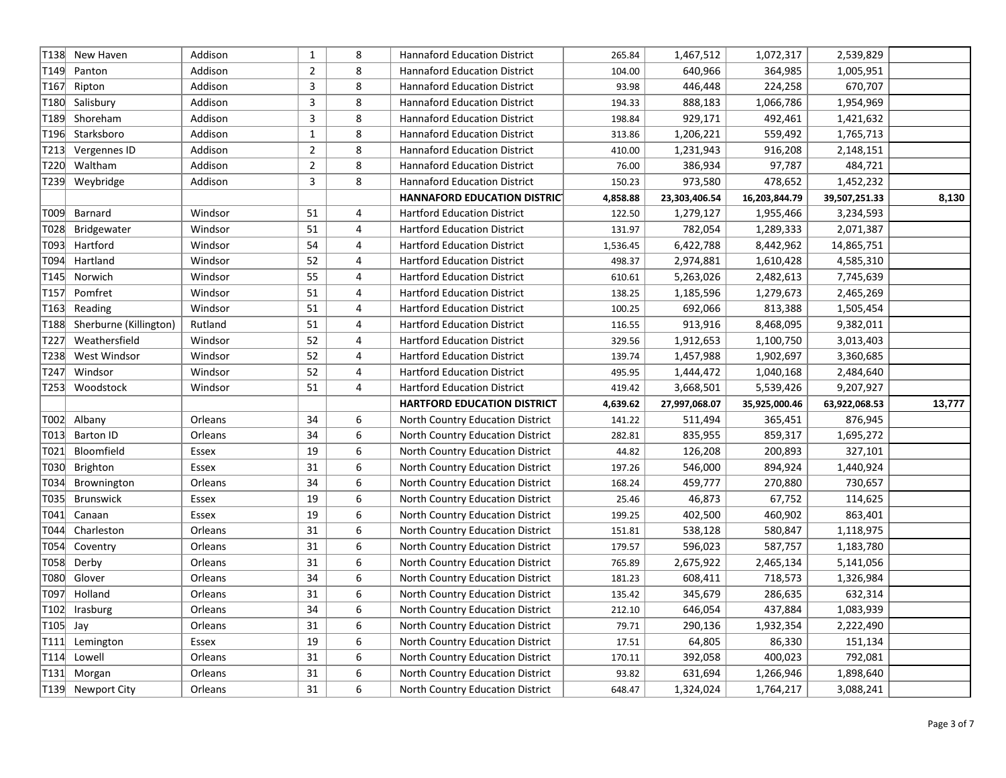| T138             | New Haven              | Addison | 1              | 8              | <b>Hannaford Education District</b>                                  | 265.84   | 1,467,512            | 1,072,317     | 2,539,829              |        |
|------------------|------------------------|---------|----------------|----------------|----------------------------------------------------------------------|----------|----------------------|---------------|------------------------|--------|
| T <sub>149</sub> | Panton                 | Addison | $\overline{2}$ | 8              | <b>Hannaford Education District</b>                                  | 104.00   | 640,966              | 364,985       | 1,005,951              |        |
| T <sub>167</sub> | Ripton                 | Addison | 3              | 8              | <b>Hannaford Education District</b>                                  | 93.98    | 446,448              | 224,258       | 670,707                |        |
| T <sub>180</sub> | Salisbury              | Addison | 3              | 8              | <b>Hannaford Education District</b>                                  | 194.33   | 888,183              | 1,066,786     | 1,954,969              |        |
| T189             | Shoreham               | Addison | 3              | 8              | <b>Hannaford Education District</b>                                  | 198.84   | 929,171              | 492,461       | 1,421,632              |        |
| T196             | Starksboro             | Addison | 1              | 8              | <b>Hannaford Education District</b>                                  | 313.86   | 1,206,221            | 559,492       | 1,765,713              |        |
| T213             | Vergennes ID           | Addison | $\overline{2}$ | 8              | <b>Hannaford Education District</b>                                  | 410.00   | 1,231,943            | 916,208       | 2,148,151              |        |
| T220             | Waltham                | Addison | $\overline{2}$ | 8              | <b>Hannaford Education District</b>                                  | 76.00    | 386,934              | 97,787        | 484,721                |        |
| T239             | Weybridge              | Addison | 3              | 8              | <b>Hannaford Education District</b>                                  | 150.23   | 973,580              | 478,652       | 1,452,232              |        |
|                  |                        |         |                |                | <b>HANNAFORD EDUCATION DISTRIC</b>                                   | 4,858.88 | 23,303,406.54        | 16,203,844.79 | 39,507,251.33          | 8,130  |
| T009             | Barnard                | Windsor | 51             | $\overline{4}$ | <b>Hartford Education District</b>                                   | 122.50   | 1,279,127            | 1,955,466     | 3,234,593              |        |
| T028             | Bridgewater            | Windsor | 51             | 4              | <b>Hartford Education District</b>                                   | 131.97   | 782,054              | 1,289,333     | 2,071,387              |        |
| T093             | Hartford               | Windsor | 54             | 4              | <b>Hartford Education District</b>                                   | 1,536.45 | 6,422,788            | 8,442,962     | 14,865,751             |        |
| T094             | Hartland               | Windsor | 52             | 4              | <b>Hartford Education District</b>                                   | 498.37   | 2,974,881            | 1,610,428     | 4,585,310              |        |
| T <sub>145</sub> | Norwich                | Windsor | 55             | 4              | <b>Hartford Education District</b>                                   | 610.61   | 5,263,026            | 2,482,613     | 7,745,639              |        |
| T <sub>157</sub> | Pomfret                | Windsor | 51             | 4              | <b>Hartford Education District</b>                                   | 138.25   | 1,185,596            | 1,279,673     | 2,465,269              |        |
| T <sub>163</sub> | Reading                | Windsor | 51             | 4              | <b>Hartford Education District</b>                                   | 100.25   | 692,066              | 813,388       | 1,505,454              |        |
| T188             | Sherburne (Killington) | Rutland | 51             | 4              | <b>Hartford Education District</b>                                   | 116.55   | 913,916              | 8,468,095     | 9,382,011              |        |
| T227             | Weathersfield          | Windsor | 52             | 4              | <b>Hartford Education District</b>                                   | 329.56   | 1,912,653            | 1,100,750     | 3,013,403              |        |
| T238             | West Windsor           | Windsor | 52             | $\overline{4}$ | <b>Hartford Education District</b>                                   | 139.74   | 1,457,988            | 1,902,697     | 3,360,685              |        |
| T247             | Windsor                | Windsor | 52             | 4              | <b>Hartford Education District</b>                                   | 495.95   | 1,444,472            | 1,040,168     | 2,484,640              |        |
| T253             | Woodstock              | Windsor | 51             | 4              | <b>Hartford Education District</b>                                   | 419.42   | 3,668,501            | 5,539,426     | 9,207,927              |        |
|                  |                        |         |                |                | <b>HARTFORD EDUCATION DISTRICT</b>                                   | 4,639.62 | 27,997,068.07        | 35,925,000.46 | 63,922,068.53          | 13,777 |
|                  |                        |         | 34             | 6              | North Country Education District                                     | 141.22   | 511,494              | 365,451       | 876,945                |        |
| T002             | Albany                 | Orleans |                |                |                                                                      |          |                      |               |                        |        |
| T013             | <b>Barton ID</b>       | Orleans | 34             | 6              | North Country Education District                                     | 282.81   | 835,955              | 859,317       | 1,695,272              |        |
| T021             | Bloomfield             | Essex   | 19             | 6              | North Country Education District                                     | 44.82    | 126,208              | 200,893       | 327,101                |        |
| T030             | Brighton               | Essex   | 31             | 6              | North Country Education District                                     | 197.26   | 546,000              | 894,924       | 1,440,924              |        |
| T034             | Brownington            | Orleans | 34             | 6              | North Country Education District                                     | 168.24   | 459,777              | 270,880       | 730,657                |        |
| T035             | Brunswick              | Essex   | 19             | 6              | North Country Education District                                     | 25.46    | 46,873               | 67,752        | 114,625                |        |
| T041             | Canaan                 | Essex   | 19             | 6              | North Country Education District                                     | 199.25   | 402,500              | 460,902       | 863,401                |        |
| T044             | Charleston             | Orleans | 31             | 6              | North Country Education District                                     | 151.81   | 538,128              | 580,847       | 1,118,975              |        |
| T054             | Coventry               | Orleans | 31             | 6              | North Country Education District                                     | 179.57   | 596,023              | 587,757       | 1,183,780              |        |
| T058             | Derby                  | Orleans | 31             | 6              | North Country Education District                                     | 765.89   | 2,675,922            | 2,465,134     | 5,141,056              |        |
| T080             | Glover                 | Orleans | 34             | 6              | North Country Education District                                     | 181.23   | 608,411              | 718,573       | 1,326,984              |        |
| T097             | Holland                | Orleans | 31             | 6              | North Country Education District                                     | 135.42   | 345,679              | 286,635       | 632,314                |        |
| T <sub>102</sub> | Irasburg               | Orleans | 34             | 6              | North Country Education District                                     | 212.10   | 646,054              | 437,884       | 1,083,939              |        |
| T105             | Jay                    | Orleans | 31             | 6              | North Country Education District                                     | 79.71    | 290,136              | 1,932,354     | 2,222,490              |        |
| T111             | Lemington              | Essex   | 19             | 6              | North Country Education District                                     | 17.51    | 64,805               | 86,330        | 151,134                |        |
| T114             | Lowell                 | Orleans | 31             | 6              | North Country Education District                                     | 170.11   | 392,058              | 400,023       | 792,081                |        |
| T131<br>T139     | Morgan                 | Orleans | 31<br>31       | 6<br>6         | North Country Education District<br>North Country Education District | 93.82    | 631,694<br>1,324,024 | 1,266,946     | 1,898,640<br>3,088,241 |        |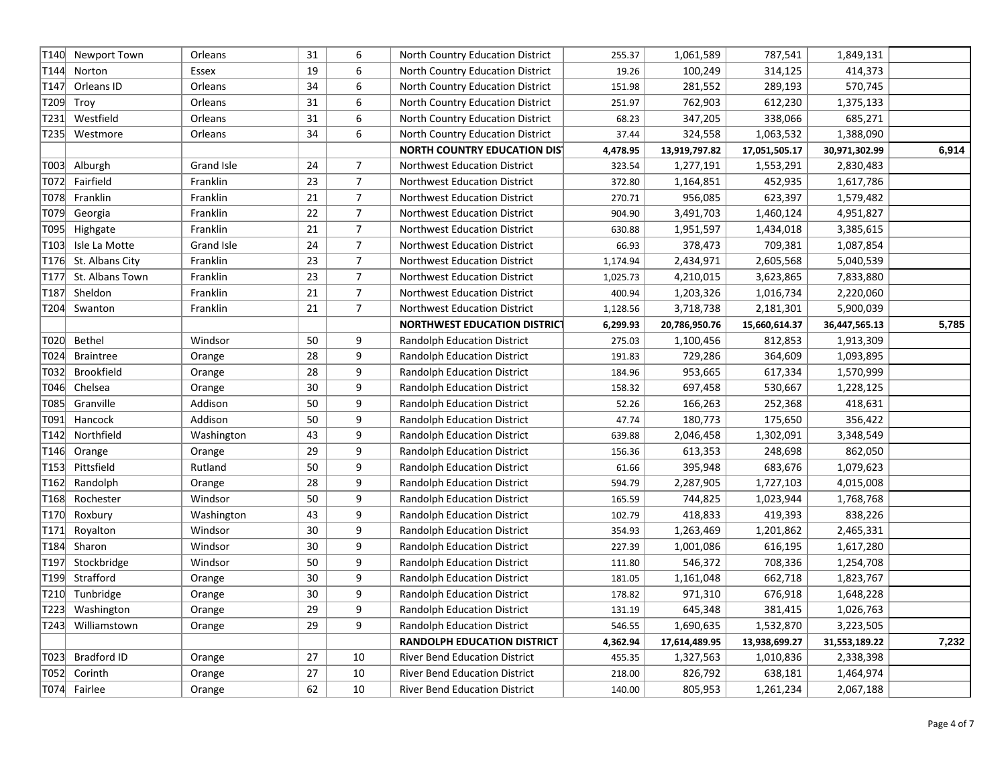| T140 | Newport Town       | Orleans    | 31 | 6                | North Country Education District     | 255.37   | 1,061,589     | 787,541       | 1,849,131     |       |
|------|--------------------|------------|----|------------------|--------------------------------------|----------|---------------|---------------|---------------|-------|
| T144 | Norton             | Essex      | 19 | 6                | North Country Education District     | 19.26    | 100,249       | 314,125       | 414,373       |       |
| T147 | Orleans ID         | Orleans    | 34 | 6                | North Country Education District     | 151.98   | 281,552       | 289,193       | 570,745       |       |
| T209 | Troy               | Orleans    | 31 | 6                | North Country Education District     | 251.97   | 762,903       | 612,230       | 1,375,133     |       |
| T231 | Westfield          | Orleans    | 31 | 6                | North Country Education District     | 68.23    | 347,205       | 338,066       | 685,271       |       |
| T235 | Westmore           | Orleans    | 34 | 6                | North Country Education District     | 37.44    | 324,558       | 1,063,532     | 1,388,090     |       |
|      |                    |            |    |                  | <b>NORTH COUNTRY EDUCATION DIST</b>  | 4,478.95 | 13,919,797.82 | 17,051,505.17 | 30,971,302.99 | 6,914 |
| T003 | Alburgh            | Grand Isle | 24 | $\overline{7}$   | <b>Northwest Education District</b>  | 323.54   | 1,277,191     | 1,553,291     | 2,830,483     |       |
| T072 | Fairfield          | Franklin   | 23 | $\overline{7}$   | <b>Northwest Education District</b>  | 372.80   | 1,164,851     | 452,935       | 1,617,786     |       |
| T078 | Franklin           | Franklin   | 21 | $\overline{7}$   | <b>Northwest Education District</b>  | 270.71   | 956,085       | 623,397       | 1,579,482     |       |
| T079 | Georgia            | Franklin   | 22 | $\overline{7}$   | <b>Northwest Education District</b>  | 904.90   | 3,491,703     | 1,460,124     | 4,951,827     |       |
| T095 | Highgate           | Franklin   | 21 | $\overline{7}$   | Northwest Education District         | 630.88   | 1,951,597     | 1,434,018     | 3,385,615     |       |
| T103 | Isle La Motte      | Grand Isle | 24 | $\overline{7}$   | <b>Northwest Education District</b>  | 66.93    | 378,473       | 709,381       | 1,087,854     |       |
| T176 | St. Albans City    | Franklin   | 23 | $\overline{7}$   | Northwest Education District         | 1,174.94 | 2,434,971     | 2,605,568     | 5,040,539     |       |
| T177 | St. Albans Town    | Franklin   | 23 | $\overline{7}$   | <b>Northwest Education District</b>  | 1,025.73 | 4,210,015     | 3,623,865     | 7,833,880     |       |
| T187 | Sheldon            | Franklin   | 21 | $\overline{7}$   | <b>Northwest Education District</b>  | 400.94   | 1,203,326     | 1,016,734     | 2,220,060     |       |
| T204 | Swanton            | Franklin   | 21 | 7                | <b>Northwest Education District</b>  | 1,128.56 | 3,718,738     | 2,181,301     | 5,900,039     |       |
|      |                    |            |    |                  | <b>NORTHWEST EDUCATION DISTRICT</b>  | 6,299.93 | 20,786,950.76 | 15,660,614.37 | 36,447,565.13 | 5,785 |
| T020 | Bethel             | Windsor    | 50 | 9                | <b>Randolph Education District</b>   | 275.03   | 1,100,456     | 812,853       | 1,913,309     |       |
| T024 | <b>Braintree</b>   | Orange     | 28 | 9                | <b>Randolph Education District</b>   | 191.83   | 729,286       | 364,609       | 1,093,895     |       |
| T032 | <b>Brookfield</b>  | Orange     | 28 | 9                | <b>Randolph Education District</b>   | 184.96   | 953,665       | 617,334       | 1,570,999     |       |
| T046 | Chelsea            | Orange     | 30 | 9                | <b>Randolph Education District</b>   | 158.32   | 697,458       | 530,667       | 1,228,125     |       |
| T085 | Granville          | Addison    | 50 | 9                | <b>Randolph Education District</b>   | 52.26    | 166,263       | 252,368       | 418,631       |       |
| T091 | Hancock            | Addison    | 50 | 9                | <b>Randolph Education District</b>   | 47.74    | 180,773       | 175,650       | 356,422       |       |
| T142 | Northfield         | Washington | 43 | 9                | <b>Randolph Education District</b>   | 639.88   | 2,046,458     | 1,302,091     | 3,348,549     |       |
| T146 | Orange             | Orange     | 29 | 9                | <b>Randolph Education District</b>   | 156.36   | 613,353       | 248,698       | 862,050       |       |
| T153 | Pittsfield         | Rutland    | 50 | 9                | <b>Randolph Education District</b>   | 61.66    | 395,948       | 683,676       | 1,079,623     |       |
| T162 | Randolph           | Orange     | 28 | 9                | <b>Randolph Education District</b>   | 594.79   | 2,287,905     | 1,727,103     | 4,015,008     |       |
| T168 | Rochester          | Windsor    | 50 | 9                | <b>Randolph Education District</b>   | 165.59   | 744,825       | 1,023,944     | 1,768,768     |       |
|      | T170 Roxbury       | Washington | 43 | 9                | <b>Randolph Education District</b>   | 102.79   | 418,833       | 419,393       | 838,226       |       |
| T171 | Royalton           | Windsor    | 30 | 9                | <b>Randolph Education District</b>   | 354.93   | 1,263,469     | 1,201,862     | 2,465,331     |       |
| T184 | Sharon             | Windsor    | 30 | 9                | <b>Randolph Education District</b>   | 227.39   | 1,001,086     | 616,195       | 1,617,280     |       |
| T197 | Stockbridge        | Windsor    | 50 | $\boldsymbol{9}$ | <b>Randolph Education District</b>   | 111.80   | 546,372       | 708,336       | 1,254,708     |       |
| T199 | Strafford          | Orange     | 30 | 9                | <b>Randolph Education District</b>   | 181.05   | 1,161,048     | 662,718       | 1,823,767     |       |
| T210 | Tunbridge          | Orange     | 30 | 9                | <b>Randolph Education District</b>   | 178.82   | 971,310       | 676,918       | 1,648,228     |       |
| T223 | Washington         | Orange     | 29 | 9                | <b>Randolph Education District</b>   | 131.19   | 645,348       | 381,415       | 1,026,763     |       |
| T243 | Williamstown       | Orange     | 29 | $\boldsymbol{9}$ | <b>Randolph Education District</b>   | 546.55   | 1,690,635     | 1,532,870     | 3,223,505     |       |
|      |                    |            |    |                  | <b>RANDOLPH EDUCATION DISTRICT</b>   | 4,362.94 | 17,614,489.95 | 13,938,699.27 | 31,553,189.22 | 7,232 |
| T023 | <b>Bradford ID</b> | Orange     | 27 | 10               | <b>River Bend Education District</b> | 455.35   | 1,327,563     | 1,010,836     | 2,338,398     |       |
| T052 | Corinth            | Orange     | 27 | 10               | <b>River Bend Education District</b> | 218.00   | 826,792       | 638,181       | 1,464,974     |       |
|      | T074 Fairlee       | Orange     | 62 | 10               | <b>River Bend Education District</b> | 140.00   | 805,953       | 1,261,234     | 2,067,188     |       |
|      |                    |            |    |                  |                                      |          |               |               |               |       |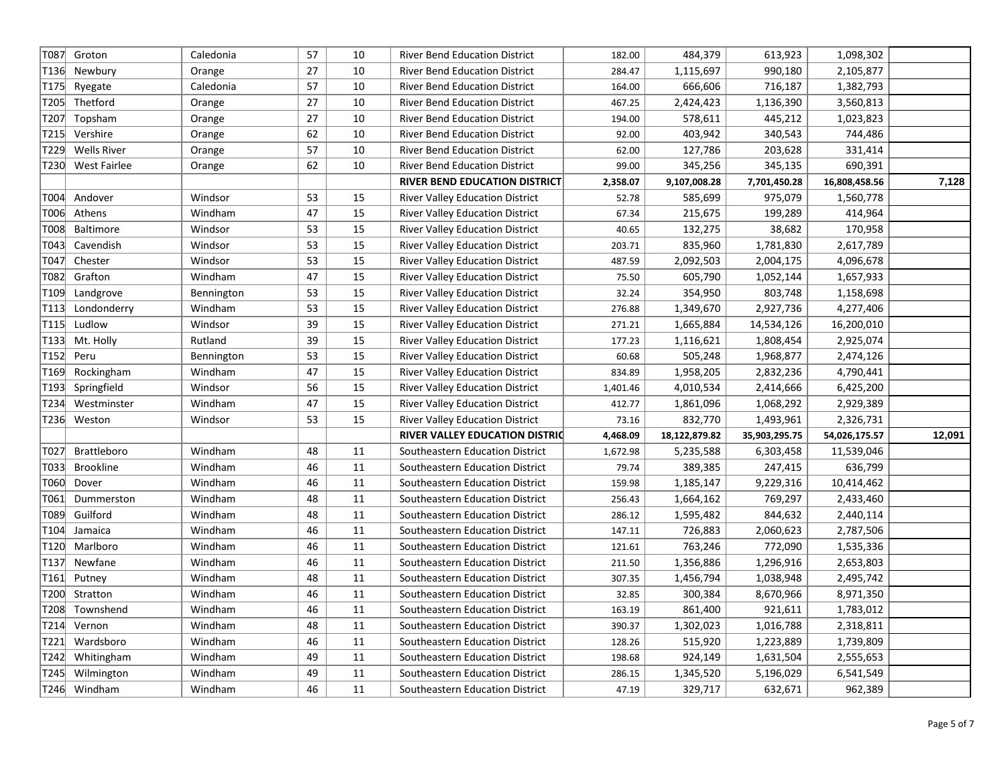| T087             | Groton              | Caledonia  | 57 | 10 | <b>River Bend Education District</b>   | 182.00   | 484,379       | 613,923       | 1,098,302     |        |
|------------------|---------------------|------------|----|----|----------------------------------------|----------|---------------|---------------|---------------|--------|
| T <sub>136</sub> | Newbury             | Orange     | 27 | 10 | <b>River Bend Education District</b>   | 284.47   | 1,115,697     | 990,180       | 2,105,877     |        |
| T175             | Ryegate             | Caledonia  | 57 | 10 | <b>River Bend Education District</b>   | 164.00   | 666,606       | 716,187       | 1,382,793     |        |
| T205             | Thetford            | Orange     | 27 | 10 | <b>River Bend Education District</b>   | 467.25   | 2,424,423     | 1,136,390     | 3,560,813     |        |
| T207             | Topsham             | Orange     | 27 | 10 | <b>River Bend Education District</b>   | 194.00   | 578,611       | 445,212       | 1,023,823     |        |
| T215             | Vershire            | Orange     | 62 | 10 | <b>River Bend Education District</b>   | 92.00    | 403,942       | 340,543       | 744,486       |        |
| T229             | <b>Wells River</b>  | Orange     | 57 | 10 | <b>River Bend Education District</b>   | 62.00    | 127,786       | 203,628       | 331,414       |        |
| T <sub>230</sub> | <b>West Fairlee</b> | Orange     | 62 | 10 | <b>River Bend Education District</b>   | 99.00    | 345,256       | 345,135       | 690,391       |        |
|                  |                     |            |    |    | <b>RIVER BEND EDUCATION DISTRICT</b>   | 2,358.07 | 9,107,008.28  | 7,701,450.28  | 16,808,458.56 | 7,128  |
| T004             | Andover             | Windsor    | 53 | 15 | <b>River Valley Education District</b> | 52.78    | 585,699       | 975,079       | 1,560,778     |        |
| T006             | Athens              | Windham    | 47 | 15 | <b>River Valley Education District</b> | 67.34    | 215,675       | 199,289       | 414,964       |        |
| T008             | Baltimore           | Windsor    | 53 | 15 | <b>River Valley Education District</b> | 40.65    | 132,275       | 38,682        | 170,958       |        |
| T043             | Cavendish           | Windsor    | 53 | 15 | <b>River Valley Education District</b> | 203.71   | 835,960       | 1,781,830     | 2,617,789     |        |
| T047             | Chester             | Windsor    | 53 | 15 | <b>River Valley Education District</b> | 487.59   | 2,092,503     | 2,004,175     | 4,096,678     |        |
| T082             | Grafton             | Windham    | 47 | 15 | <b>River Valley Education District</b> | 75.50    | 605,790       | 1,052,144     | 1,657,933     |        |
| T109             | Landgrove           | Bennington | 53 | 15 | <b>River Valley Education District</b> | 32.24    | 354,950       | 803,748       | 1,158,698     |        |
| T <sub>113</sub> | Londonderry         | Windham    | 53 | 15 | <b>River Valley Education District</b> | 276.88   | 1,349,670     | 2,927,736     | 4,277,406     |        |
| T115             | Ludlow              | Windsor    | 39 | 15 | <b>River Valley Education District</b> | 271.21   | 1,665,884     | 14,534,126    | 16,200,010    |        |
| T <sub>133</sub> | Mt. Holly           | Rutland    | 39 | 15 | <b>River Valley Education District</b> | 177.23   | 1,116,621     | 1,808,454     | 2,925,074     |        |
| T152             | Peru                | Bennington | 53 | 15 | <b>River Valley Education District</b> | 60.68    | 505,248       | 1,968,877     | 2,474,126     |        |
| T169             | Rockingham          | Windham    | 47 | 15 | <b>River Valley Education District</b> | 834.89   | 1,958,205     | 2,832,236     | 4,790,441     |        |
| T <sub>193</sub> | Springfield         | Windsor    | 56 | 15 | <b>River Valley Education District</b> | 1,401.46 | 4,010,534     | 2,414,666     | 6,425,200     |        |
| T234             | Westminster         | Windham    | 47 | 15 | <b>River Valley Education District</b> | 412.77   | 1,861,096     | 1,068,292     | 2,929,389     |        |
| T236             | Weston              | Windsor    | 53 | 15 | <b>River Valley Education District</b> | 73.16    | 832,770       | 1,493,961     | 2,326,731     |        |
|                  |                     |            |    |    | RIVER VALLEY EDUCATION DISTRIC         | 4,468.09 | 18,122,879.82 | 35,903,295.75 | 54,026,175.57 | 12,091 |
| T027             | Brattleboro         | Windham    | 48 | 11 | Southeastern Education District        | 1,672.98 | 5,235,588     | 6,303,458     | 11,539,046    |        |
| T033             | <b>Brookline</b>    | Windham    | 46 | 11 | Southeastern Education District        | 79.74    | 389,385       | 247,415       | 636,799       |        |
| T060             | Dover               | Windham    | 46 | 11 | Southeastern Education District        | 159.98   | 1,185,147     | 9,229,316     | 10,414,462    |        |
| T061             | Dummerston          | Windham    | 48 | 11 | Southeastern Education District        | 256.43   | 1,664,162     | 769,297       | 2,433,460     |        |
| T089             | Guilford            | Windham    | 48 | 11 | Southeastern Education District        | 286.12   | 1,595,482     | 844,632       | 2,440,114     |        |
| T <sub>104</sub> | Jamaica             | Windham    | 46 | 11 | Southeastern Education District        | 147.11   | 726,883       | 2,060,623     | 2,787,506     |        |
| T <sub>120</sub> | Marlboro            | Windham    | 46 | 11 | Southeastern Education District        | 121.61   | 763,246       | 772,090       | 1,535,336     |        |
| T <sub>137</sub> | Newfane             | Windham    | 46 | 11 | Southeastern Education District        | 211.50   | 1,356,886     | 1,296,916     | 2,653,803     |        |
| T161             | Putney              | Windham    | 48 | 11 | Southeastern Education District        | 307.35   | 1,456,794     | 1,038,948     | 2,495,742     |        |
| T200             | Stratton            | Windham    | 46 | 11 | Southeastern Education District        | 32.85    | 300,384       | 8,670,966     | 8,971,350     |        |
| T208             | Townshend           | Windham    | 46 | 11 | Southeastern Education District        | 163.19   | 861,400       | 921,611       | 1,783,012     |        |
| T214             | Vernon              | Windham    | 48 | 11 | Southeastern Education District        | 390.37   | 1,302,023     | 1,016,788     | 2,318,811     |        |
| T221             | Wardsboro           | Windham    | 46 | 11 | Southeastern Education District        | 128.26   | 515,920       | 1,223,889     | 1,739,809     |        |
| T242             | Whitingham          | Windham    | 49 | 11 | Southeastern Education District        | 198.68   | 924,149       | 1,631,504     | 2,555,653     |        |
| T245             | Wilmington          | Windham    | 49 | 11 | Southeastern Education District        | 286.15   | 1,345,520     | 5,196,029     | 6,541,549     |        |
|                  | T246 Windham        | Windham    | 46 | 11 | Southeastern Education District        |          | 329,717       | 632,671       | 962,389       |        |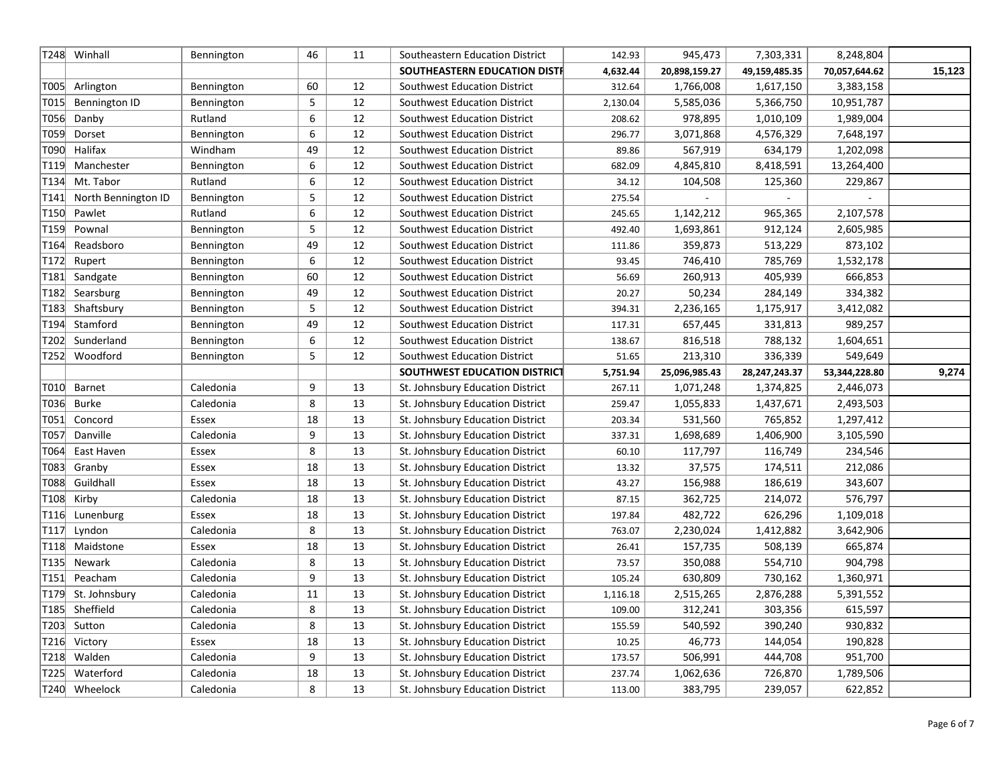| T248 | Winhall             | Bennington | 46 | 11 | Southeastern Education District     | 142.93   | 945,473       | 7,303,331        | 8,248,804     |        |
|------|---------------------|------------|----|----|-------------------------------------|----------|---------------|------------------|---------------|--------|
|      |                     |            |    |    | SOUTHEASTERN EDUCATION DISTR        | 4,632.44 | 20,898,159.27 | 49,159,485.35    | 70,057,644.62 | 15,123 |
| T005 | Arlington           | Bennington | 60 | 12 | <b>Southwest Education District</b> | 312.64   | 1,766,008     | 1,617,150        | 3,383,158     |        |
| T015 | Bennington ID       | Bennington | 5  | 12 | <b>Southwest Education District</b> | 2,130.04 | 5,585,036     | 5,366,750        | 10,951,787    |        |
| T056 | Danby               | Rutland    | 6  | 12 | Southwest Education District        | 208.62   | 978,895       | 1,010,109        | 1,989,004     |        |
| T059 | Dorset              | Bennington | 6  | 12 | <b>Southwest Education District</b> | 296.77   | 3,071,868     | 4,576,329        | 7,648,197     |        |
| T090 | Halifax             | Windham    | 49 | 12 | <b>Southwest Education District</b> | 89.86    | 567,919       | 634,179          | 1,202,098     |        |
| T119 | Manchester          | Bennington | 6  | 12 | <b>Southwest Education District</b> | 682.09   | 4,845,810     | 8,418,591        | 13,264,400    |        |
| T134 | Mt. Tabor           | Rutland    | 6  | 12 | <b>Southwest Education District</b> | 34.12    | 104,508       | 125,360          | 229,867       |        |
| T141 | North Bennington ID | Bennington | 5  | 12 | <b>Southwest Education District</b> | 275.54   |               |                  |               |        |
| T150 | Pawlet              | Rutland    | 6  | 12 | <b>Southwest Education District</b> | 245.65   | 1,142,212     | 965,365          | 2,107,578     |        |
| T159 | Pownal              | Bennington | 5  | 12 | <b>Southwest Education District</b> | 492.40   | 1,693,861     | 912,124          | 2,605,985     |        |
| T164 | Readsboro           | Bennington | 49 | 12 | <b>Southwest Education District</b> | 111.86   | 359,873       | 513,229          | 873,102       |        |
| T172 | Rupert              | Bennington | 6  | 12 | <b>Southwest Education District</b> | 93.45    | 746,410       | 785,769          | 1,532,178     |        |
| T181 | Sandgate            | Bennington | 60 | 12 | <b>Southwest Education District</b> | 56.69    | 260,913       | 405,939          | 666,853       |        |
| T182 | Searsburg           | Bennington | 49 | 12 | Southwest Education District        | 20.27    | 50,234        | 284,149          | 334,382       |        |
| T183 | Shaftsbury          | Bennington | 5  | 12 | Southwest Education District        | 394.31   | 2,236,165     | 1,175,917        | 3,412,082     |        |
| T194 | Stamford            | Bennington | 49 | 12 | <b>Southwest Education District</b> | 117.31   | 657,445       | 331,813          | 989,257       |        |
| T202 | Sunderland          | Bennington | 6  | 12 | <b>Southwest Education District</b> | 138.67   | 816,518       | 788,132          | 1,604,651     |        |
| T252 | Woodford            | Bennington | 5  | 12 | Southwest Education District        | 51.65    | 213,310       | 336,339          | 549,649       |        |
|      |                     |            |    |    | SOUTHWEST EDUCATION DISTRICT        | 5,751.94 | 25,096,985.43 | 28, 247, 243. 37 | 53,344,228.80 | 9,274  |
| T010 | Barnet              | Caledonia  | 9  | 13 | St. Johnsbury Education District    | 267.11   | 1,071,248     | 1,374,825        | 2,446,073     |        |
| T036 | <b>Burke</b>        | Caledonia  | 8  | 13 | St. Johnsbury Education District    | 259.47   | 1,055,833     | 1,437,671        | 2,493,503     |        |
| T051 | Concord             | Essex      | 18 | 13 | St. Johnsbury Education District    | 203.34   | 531,560       | 765,852          | 1,297,412     |        |
| T057 | Danville            | Caledonia  | 9  | 13 | St. Johnsbury Education District    | 337.31   | 1,698,689     | 1,406,900        | 3,105,590     |        |
| T064 | East Haven          | Essex      | 8  | 13 | St. Johnsbury Education District    | 60.10    | 117,797       | 116,749          | 234,546       |        |
| T083 | Granby              | Essex      | 18 | 13 | St. Johnsbury Education District    | 13.32    | 37,575        | 174,511          | 212,086       |        |
| T088 | Guildhall           | Essex      | 18 | 13 | St. Johnsbury Education District    | 43.27    | 156,988       | 186,619          | 343,607       |        |
| T108 | Kirby               | Caledonia  | 18 | 13 | St. Johnsbury Education District    | 87.15    | 362,725       | 214,072          | 576,797       |        |
|      | T116 Lunenburg      | Essex      | 18 | 13 | St. Johnsbury Education District    | 197.84   | 482,722       | 626,296          | 1,109,018     |        |
| T117 | Lyndon              | Caledonia  | 8  | 13 | St. Johnsbury Education District    | 763.07   | 2,230,024     | 1,412,882        | 3,642,906     |        |
| T118 | Maidstone           | Essex      | 18 | 13 | St. Johnsbury Education District    | 26.41    | 157,735       | 508,139          | 665,874       |        |
| T135 | Newark              | Caledonia  | 8  | 13 | St. Johnsbury Education District    | 73.57    | 350,088       | 554,710          | 904,798       |        |
| T151 | Peacham             | Caledonia  | 9  | 13 | St. Johnsbury Education District    | 105.24   | 630,809       | 730,162          | 1,360,971     |        |
| T179 | St. Johnsbury       | Caledonia  | 11 | 13 | St. Johnsbury Education District    | 1,116.18 | 2,515,265     | 2,876,288        | 5,391,552     |        |
| T185 | Sheffield           | Caledonia  | 8  | 13 | St. Johnsbury Education District    | 109.00   | 312,241       | 303,356          | 615,597       |        |
| T203 | Sutton              | Caledonia  | 8  | 13 | St. Johnsbury Education District    | 155.59   | 540,592       | 390,240          | 930,832       |        |
| T216 | Victory             | Essex      | 18 | 13 | St. Johnsbury Education District    | 10.25    | 46,773        | 144,054          | 190,828       |        |
| T218 | Walden              | Caledonia  | 9  | 13 | St. Johnsbury Education District    | 173.57   | 506,991       | 444,708          | 951,700       |        |
| T225 | Waterford           | Caledonia  | 18 | 13 | St. Johnsbury Education District    | 237.74   | 1,062,636     | 726,870          | 1,789,506     |        |
| T240 | Wheelock            | Caledonia  | 8  | 13 | St. Johnsbury Education District    | 113.00   | 383,795       | 239,057          | 622,852       |        |